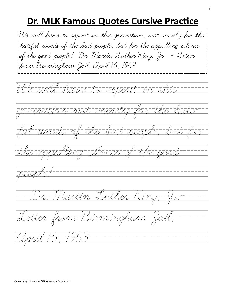## **Dr. MLK Famous Quotes Cursive Practice**

We will have to repent in this generation, not merely for the hateful words of the bad people, but for the appalling silence of the good people! Dr. Martin Luther King, Jr. - Letter from Birmingham Jail, April 16, 1963We will have to repent in this generation not merely for the hate-ful words of the bad people, but for the appalling silence of the good people! --------------------Dr. Martin Luther King, Jr.— Letter from Birmingham Jail, April 16, 1963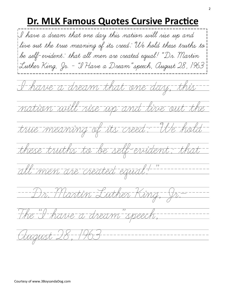## **Dr. MLK Famous Quotes Cursive Practice**

I have a dream that one day, this nation will rise up and live out the true meaning of its creed: "We hold these truths to be self-evident: that all-men are created equal!"-"--Dr. Martin Luther King, Jr.— The "I have a dream" speech, August 28, 1963 I have a dream that one day this nation will rise up and live out the true meaning of its creed: "We hold these truths to be self-evident: that all men are created equal!" Dr. Martin Luther King, Jr. - "I Have a Dream" speech, August 28, 1963